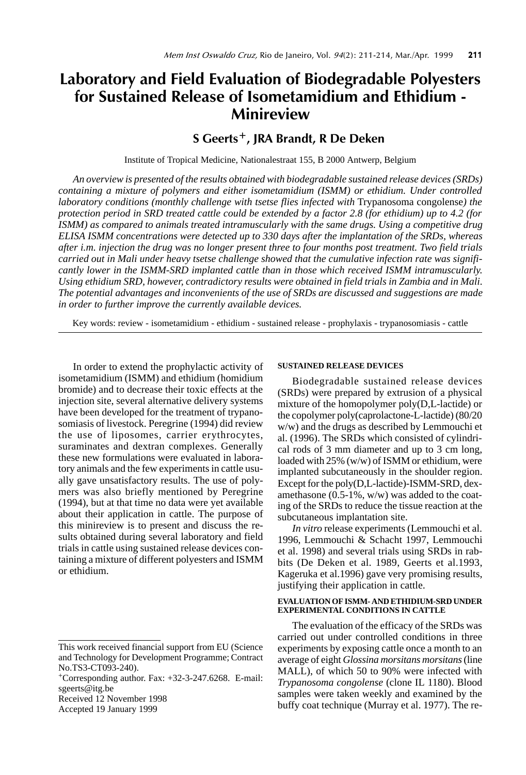# Laboratory and Field Evaluation of Biodegradable Polyesters for Sustained Release of Isometamidium and Ethidium - Minireview

## S Geerts+, JRA Brandt, R De Deken

Institute of Tropical Medicine, Nationalestraat 155, B 2000 Antwerp, Belgium

*An overview is presented of the results obtained with biodegradable sustained release devices (SRDs) containing a mixture of polymers and either isometamidium (ISMM) or ethidium. Under controlled laboratory conditions (monthly challenge with tsetse flies infected with Trypanosoma congolense) the protection period in SRD treated cattle could be extended by a factor 2.8 (for ethidium) up to 4.2 (for ISMM) as compared to animals treated intramuscularly with the same drugs. Using a competitive drug ELISA ISMM concentrations were detected up to 330 days after the implantation of the SRDs, whereas after i.m. injection the drug was no longer present three to four months post treatment. Two field trials carried out in Mali under heavy tsetse challenge showed that the cumulative infection rate was significantly lower in the ISMM-SRD implanted cattle than in those which received ISMM intramuscularly. Using ethidium SRD, however, contradictory results were obtained in field trials in Zambia and in Mali. The potential advantages and inconvenients of the use of SRDs are discussed and suggestions are made in order to further improve the currently available devices.*

Key words: review - isometamidium - ethidium - sustained release - prophylaxis - trypanosomiasis - cattle

In order to extend the prophylactic activity of isometamidium (ISMM) and ethidium (homidium bromide) and to decrease their toxic effects at the injection site, several alternative delivery systems have been developed for the treatment of trypanosomiasis of livestock. Peregrine (1994) did review the use of liposomes, carrier erythrocytes, suraminates and dextran complexes. Generally these new formulations were evaluated in laboratory animals and the few experiments in cattle usually gave unsatisfactory results. The use of polymers was also briefly mentioned by Peregrine (1994), but at that time no data were yet available about their application in cattle. The purpose of this minireview is to present and discuss the results obtained during several laboratory and field trials in cattle using sustained release devices containing a mixture of different polyesters and ISMM or ethidium.

#### **SUSTAINED RELEASE DEVICES**

Biodegradable sustained release devices (SRDs) were prepared by extrusion of a physical mixture of the homopolymer poly(D,L-lactide) or the copolymer poly(caprolactone-L-lactide) (80/20 w/w) and the drugs as described by Lemmouchi et al. (1996). The SRDs which consisted of cylindrical rods of 3 mm diameter and up to 3 cm long, loaded with 25% (w/w) of ISMM or ethidium, were implanted subcutaneously in the shoulder region. Except for the poly(D,L-lactide)-ISMM-SRD, dexamethasone (0.5-1%, w/w) was added to the coating of the SRDs to reduce the tissue reaction at the subcutaneous implantation site.

*In vitro* release experiments (Lemmouchi et al. 1996, Lemmouchi & Schacht 1997, Lemmouchi et al. 1998) and several trials using SRDs in rabbits (De Deken et al. 1989, Geerts et al.1993, Kageruka et al.1996) gave very promising results, justifying their application in cattle.

#### **EVALUATION OF ISMM- AND ETHIDIUM-SRD UNDER EXPERIMENTAL CONDITIONS IN CATTLE**

The evaluation of the efficacy of the SRDs was carried out under controlled conditions in three experiments by exposing cattle once a month to an average of eight *Glossina morsitans morsitans* (line MALL), of which 50 to 90% were infected with *Trypanosoma congolense* (clone IL 1180). Blood samples were taken weekly and examined by the buffy coat technique (Murray et al. 1977). The re-

This work received financial support from EU (Science and Technology for Development Programme; Contract No.TS3-CT093-240).

<sup>+</sup>Corresponding author. Fax: +32-3-247.6268. E-mail: sgeerts@itg.be

Received 12 November 1998

Accepted 19 January 1999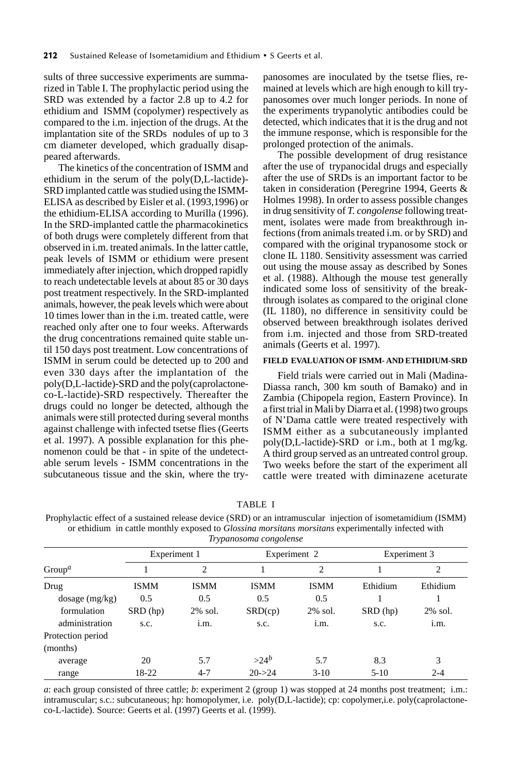sults of three successive experiments are summarized in Table I. The prophylactic period using the SRD was extended by a factor 2.8 up to 4.2 for ethidium and ISMM (copolymer) respectively as compared to the i.m. injection of the drugs. At the implantation site of the SRDs nodules of up to 3 cm diameter developed, which gradually disappeared afterwards.

The kinetics of the concentration of ISMM and ethidium in the serum of the poly(D,L-lactide)- SRD implanted cattle was studied using the ISMM-ELISA as described by Eisler et al. (1993,1996) or the ethidium-ELISA according to Murilla (1996). In the SRD-implanted cattle the pharmacokinetics of both drugs were completely different from that observed in i.m. treated animals. In the latter cattle, peak levels of ISMM or ethidium were present immediately after injection, which dropped rapidly to reach undetectable levels at about 85 or 30 days post treatment respectively. In the SRD-implanted animals, however, the peak levels which were about 10 times lower than in the i.m. treated cattle, were reached only after one to four weeks. Afterwards the drug concentrations remained quite stable until 150 days post treatment. Low concentrations of ISMM in serum could be detected up to 200 and even 330 days after the implantation of the poly(D,L-lactide)-SRD and the poly(caprolactoneco-L-lactide)-SRD respectively. Thereafter the drugs could no longer be detected, although the animals were still protected during several months against challenge with infected tsetse flies (Geerts et al. 1997). A possible explanation for this phenomenon could be that - in spite of the undetectable serum levels - ISMM concentrations in the subcutaneous tissue and the skin, where the trypanosomes are inoculated by the tsetse flies, remained at levels which are high enough to kill trypanosomes over much longer periods. In none of the experiments trypanolytic antibodies could be detected, which indicates that it is the drug and not the immune response, which is responsible for the prolonged protection of the animals.

The possible development of drug resistance after the use of trypanocidal drugs and especially after the use of SRDs is an important factor to be taken in consideration (Peregrine 1994, Geerts & Holmes 1998). In order to assess possible changes in drug sensitivity of *T. congolense* following treatment, isolates were made from breakthrough infections (from animals treated i.m. or by SRD) and compared with the original trypanosome stock or clone IL 1180. Sensitivity assessment was carried out using the mouse assay as described by Sones et al. (1988). Although the mouse test generally indicated some loss of sensitivity of the breakthrough isolates as compared to the original clone (IL 1180), no difference in sensitivity could be observed between breakthrough isolates derived from i.m. injected and those from SRD-treated animals (Geerts et al. 1997).

#### **FIELD EVALUATION OF ISMM- AND ETHIDIUM-SRD**

Field trials were carried out in Mali (Madina-Diassa ranch, 300 km south of Bamako) and in Zambia (Chipopela region, Eastern Province). In a first trial in Mali by Diarra et al. (1998) two groups of N'Dama cattle were treated respectively with ISMM either as a subcutaneously implanted poly(D,L-lactide)-SRD or i.m., both at 1 mg/kg. A third group served as an untreated control group. Two weeks before the start of the experiment all cattle were treated with diminazene aceturate

TABLE I

| 11 year comar congoverno                               |              |             |              |             |              |            |  |  |  |  |  |
|--------------------------------------------------------|--------------|-------------|--------------|-------------|--------------|------------|--|--|--|--|--|
| Group <sup>a</sup>                                     | Experiment 1 |             | Experiment 2 |             | Experiment 3 |            |  |  |  |  |  |
|                                                        |              | 2           |              | 2           |              | 2          |  |  |  |  |  |
| Drug                                                   | <b>ISMM</b>  | <b>ISMM</b> | <b>ISMM</b>  | <b>ISMM</b> | Ethidium     | Ethidium   |  |  |  |  |  |
| $\frac{1}{\text{dosage}} \left( \frac{mg}{kg} \right)$ | 0.5          | 0.5         | 0.5          | 0.5         |              |            |  |  |  |  |  |
| formulation                                            | SRD (hp)     | $2\%$ sol.  | SRD(cp)      | 2% sol.     | SRD (hp)     | $2\%$ sol. |  |  |  |  |  |
| administration                                         | s.c.         | 1.m.        | S.C.         | 1.m.        | S.C.         | i.m.       |  |  |  |  |  |
| Protection period                                      |              |             |              |             |              |            |  |  |  |  |  |
| (months)                                               |              |             |              |             |              |            |  |  |  |  |  |
| average                                                | 20           | 5.7         | $>24^b$      | 5.7         | 8.3          | 3          |  |  |  |  |  |
| range                                                  | 18-22        | $4 - 7$     | $20 - > 24$  | $3-10$      | $5-10$       | $2 - 4$    |  |  |  |  |  |

Prophylactic effect of a sustained release device (SRD) or an intramuscular injection of isometamidium (ISMM) or ethidium in cattle monthly exposed to *Glossina morsitans morsitans* experimentally infected with *Trypanosoma congolense*

*a*: each group consisted of three cattle; *b*: experiment 2 (group 1) was stopped at 24 months post treatment; i.m.: intramuscular; s.c.: subcutaneous; hp: homopolymer, i.e. poly(D,L-lactide); cp: copolymer,i.e. poly(caprolactoneco-L-lactide). Source: Geerts et al. (1997) Geerts et al. (1999).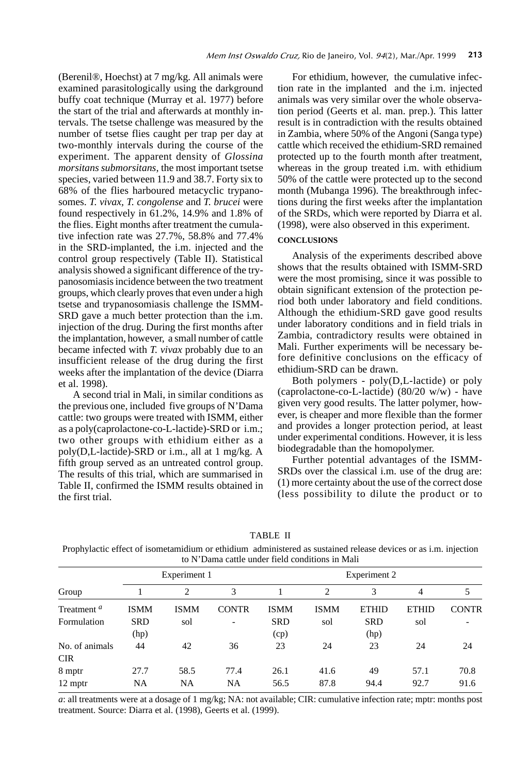(Berenil®, Hoechst) at 7 mg/kg. All animals were examined parasitologically using the darkground buffy coat technique (Murray et al. 1977) before the start of the trial and afterwards at monthly intervals. The tsetse challenge was measured by the number of tsetse flies caught per trap per day at two-monthly intervals during the course of the experiment. The apparent density of *Glossina morsitans submorsitans,* the most important tsetse species, varied between 11.9 and 38.7. Forty six to 68% of the flies harboured metacyclic trypanosomes. *T. vivax, T. congolense* and *T. brucei* were found respectively in 61.2%, 14.9% and 1.8% of the flies. Eight months after treatment the cumulative infection rate was 27.7%, 58.8% and 77.4% in the SRD-implanted, the i.m. injected and the control group respectively (Table II). Statistical analysis showed a significant difference of the trypanosomiasis incidence between the two treatment groups, which clearly proves that even under a high tsetse and trypanosomiasis challenge the ISMM-SRD gave a much better protection than the i.m. injection of the drug. During the first months after the implantation, however, a small number of cattle became infected with *T. vivax* probably due to an insufficient release of the drug during the first weeks after the implantation of the device (Diarra et al. 1998).

A second trial in Mali, in similar conditions as the previous one, included five groups of N'Dama cattle: two groups were treated with ISMM, either as a poly(caprolactone-co-L-lactide)-SRD or i.m.; two other groups with ethidium either as a poly(D,L-lactide)-SRD or i.m., all at 1 mg/kg. A fifth group served as an untreated control group. The results of this trial, which are summarised in Table II, confirmed the ISMM results obtained in the first trial.

For ethidium, however, the cumulative infection rate in the implanted and the i.m. injected animals was very similar over the whole observation period (Geerts et al. man. prep.). This latter result is in contradiction with the results obtained in Zambia, where 50% of the Angoni (Sanga type) cattle which received the ethidium-SRD remained protected up to the fourth month after treatment, whereas in the group treated i.m. with ethidium 50% of the cattle were protected up to the second month (Mubanga 1996). The breakthrough infections during the first weeks after the implantation of the SRDs, which were reported by Diarra et al. (1998), were also observed in this experiment.

### **CONCLUSIONS**

Analysis of the experiments described above shows that the results obtained with ISMM-SRD were the most promising, since it was possible to obtain significant extension of the protection period both under laboratory and field conditions. Although the ethidium-SRD gave good results under laboratory conditions and in field trials in Zambia, contradictory results were obtained in Mali. Further experiments will be necessary before definitive conclusions on the efficacy of ethidium-SRD can be drawn.

Both polymers - poly(D,L-lactide) or poly (caprolactone-co-L-lactide) (80/20 w/w) - have given very good results. The latter polymer, however, is cheaper and more flexible than the former and provides a longer protection period, at least under experimental conditions. However, it is less biodegradable than the homopolymer.

Further potential advantages of the ISMM-SRDs over the classical i.m. use of the drug are: (1) more certainty about the use of the correct dose (less possibility to dilute the product or to

| `ABI- |  |
|-------|--|
|-------|--|

Prophylactic effect of isometamidium or ethidium administered as sustained release devices or as i.m. injection to N'Dama cattle under field conditions in Mali

| Group                  | Experiment 1 |                |                          | Experiment 2 |             |              |              |              |
|------------------------|--------------|----------------|--------------------------|--------------|-------------|--------------|--------------|--------------|
|                        |              | $\overline{c}$ | 3                        |              | 2           | 3            | 4            |              |
| Treatment <sup>a</sup> | <b>ISMM</b>  | <b>ISMM</b>    | <b>CONTR</b>             | <b>ISMM</b>  | <b>ISMM</b> | <b>ETHID</b> | <b>ETHID</b> | <b>CONTR</b> |
| Formulation            | <b>SRD</b>   | sol            | $\overline{\phantom{0}}$ | <b>SRD</b>   | sol         | <b>SRD</b>   | sol          |              |
|                        | (hp)         |                |                          | (cp)         |             | (hp)         |              |              |
| No. of animals         | 44           | 42             | 36                       | 23           | 24          | 23           | 24           | 24           |
| <b>CIR</b>             |              |                |                          |              |             |              |              |              |
| 8 mptr                 | 27.7         | 58.5           | 77.4                     | 26.1         | 41.6        | 49           | 57.1         | 70.8         |
| 12 mptr                | NA           | NA             | NA                       | 56.5         | 87.8        | 94.4         | 92.7         | 91.6         |

*a*: all treatments were at a dosage of 1 mg/kg; NA: not available; CIR: cumulative infection rate; mptr: months post treatment. Source: Diarra et al. (1998), Geerts et al. (1999).